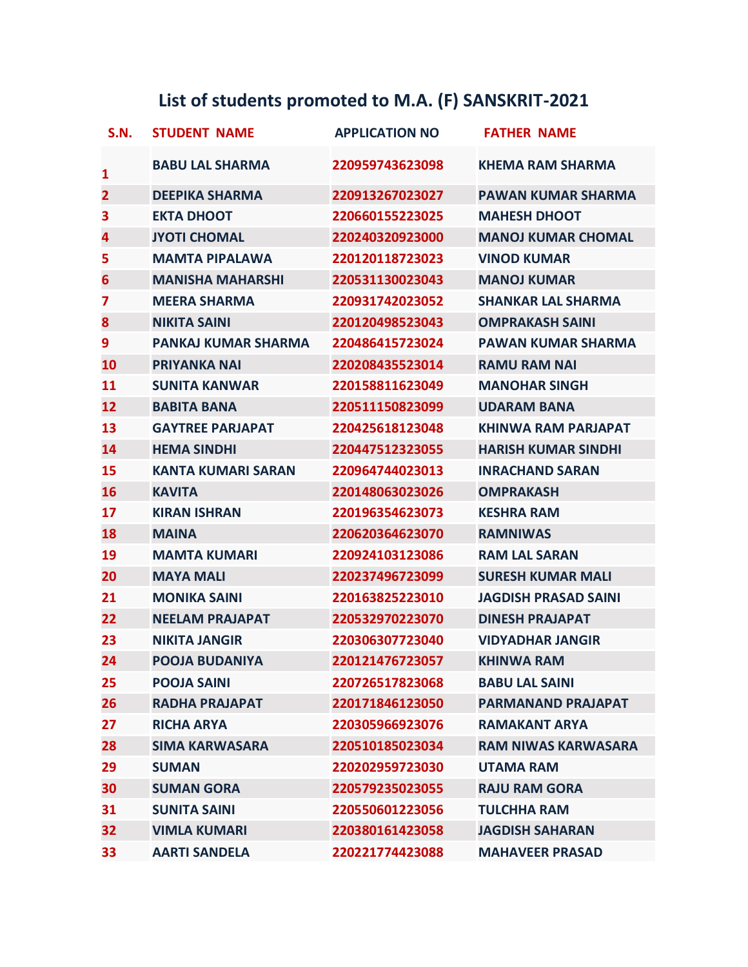## **List of students promoted to M.A. (F) SANSKRIT-2021**

| <b>S.N.</b>             | <b>STUDENT NAME</b>        | <b>APPLICATION NO</b> | <b>FATHER NAME</b>          |
|-------------------------|----------------------------|-----------------------|-----------------------------|
| $\mathbf{1}$            | <b>BABU LAL SHARMA</b>     | 220959743623098       | <b>KHEMA RAM SHARMA</b>     |
| $\overline{\mathbf{2}}$ | <b>DEEPIKA SHARMA</b>      | 220913267023027       | <b>PAWAN KUMAR SHARMA</b>   |
| 3                       | <b>EKTA DHOOT</b>          | 220660155223025       | <b>MAHESH DHOOT</b>         |
| 4                       | <b>JYOTI CHOMAL</b>        | 220240320923000       | <b>MANOJ KUMAR CHOMAL</b>   |
| 5                       | <b>MAMTA PIPALAWA</b>      | 220120118723023       | <b>VINOD KUMAR</b>          |
| 6                       | <b>MANISHA MAHARSHI</b>    | 220531130023043       | <b>MANOJ KUMAR</b>          |
| $\overline{\mathbf{z}}$ | <b>MEERA SHARMA</b>        | 220931742023052       | <b>SHANKAR LAL SHARMA</b>   |
| 8                       | <b>NIKITA SAINI</b>        | 220120498523043       | <b>OMPRAKASH SAINI</b>      |
| 9                       | <b>PANKAJ KUMAR SHARMA</b> | 220486415723024       | <b>PAWAN KUMAR SHARMA</b>   |
| 10                      | <b>PRIYANKA NAI</b>        | 220208435523014       | <b>RAMU RAM NAI</b>         |
| 11                      | <b>SUNITA KANWAR</b>       | 220158811623049       | <b>MANOHAR SINGH</b>        |
| 12                      | <b>BABITA BANA</b>         | 220511150823099       | <b>UDARAM BANA</b>          |
| 13                      | <b>GAYTREE PARJAPAT</b>    | 220425618123048       | <b>KHINWA RAM PARJAPAT</b>  |
| 14                      | <b>HEMA SINDHI</b>         | 220447512323055       | <b>HARISH KUMAR SINDHI</b>  |
| 15                      | <b>KANTA KUMARI SARAN</b>  | 220964744023013       | <b>INRACHAND SARAN</b>      |
| 16                      | <b>KAVITA</b>              | 220148063023026       | <b>OMPRAKASH</b>            |
| 17                      | <b>KIRAN ISHRAN</b>        | 220196354623073       | <b>KESHRA RAM</b>           |
| 18                      | <b>MAINA</b>               | 220620364623070       | <b>RAMNIWAS</b>             |
| 19                      | <b>MAMTA KUMARI</b>        | 220924103123086       | <b>RAM LAL SARAN</b>        |
| 20                      | <b>MAYA MALI</b>           | 220237496723099       | <b>SURESH KUMAR MALI</b>    |
| 21                      | <b>MONIKA SAINI</b>        | 220163825223010       | <b>JAGDISH PRASAD SAINI</b> |
| 22                      | <b>NEELAM PRAJAPAT</b>     | 220532970223070       | <b>DINESH PRAJAPAT</b>      |
| 23                      | <b>NIKITA JANGIR</b>       | 220306307723040       | <b>VIDYADHAR JANGIR</b>     |
| 24                      | <b>POOJA BUDANIYA</b>      | 220121476723057       | KHINWA RAM                  |
| 25                      | <b>POOJA SAINI</b>         | 220726517823068       | <b>BABU LAL SAINI</b>       |
| 26                      | <b>RADHA PRAJAPAT</b>      | 220171846123050       | <b>PARMANAND PRAJAPAT</b>   |
| 27                      | <b>RICHA ARYA</b>          | 220305966923076       | <b>RAMAKANT ARYA</b>        |
| 28                      | <b>SIMA KARWASARA</b>      | 220510185023034       | <b>RAM NIWAS KARWASARA</b>  |
| 29                      | <b>SUMAN</b>               | 220202959723030       | <b>UTAMA RAM</b>            |
| 30                      | <b>SUMAN GORA</b>          | 220579235023055       | <b>RAJU RAM GORA</b>        |
| 31                      | <b>SUNITA SAINI</b>        | 220550601223056       | <b>TULCHHA RAM</b>          |
| 32                      | <b>VIMLA KUMARI</b>        | 220380161423058       | <b>JAGDISH SAHARAN</b>      |
| 33                      | <b>AARTI SANDELA</b>       | 220221774423088       | <b>MAHAVEER PRASAD</b>      |